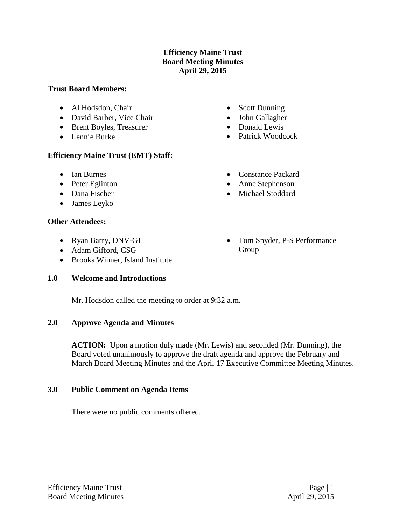# **Efficiency Maine Trust Board Meeting Minutes April 29, 2015**

#### **Trust Board Members:**

- Al Hodsdon, Chair
- David Barber, Vice Chair
- Brent Boyles, Treasurer
- Lennie Burke

# **Efficiency Maine Trust (EMT) Staff:**

- Ian Burnes
- Peter Eglinton
- Dana Fischer
- James Leyko

# **Other Attendees:**

- Ryan Barry, DNV-GL
- Adam Gifford, CSG
- Brooks Winner, Island Institute

# **1.0 Welcome and Introductions**

- Scott Dunning
- John Gallagher
- Donald Lewis
- Patrick Woodcock
- Constance Packard
- Anne Stephenson
- Michael Stoddard
- Tom Snyder, P-S Performance Group

Mr. Hodsdon called the meeting to order at 9:32 a.m.

# **2.0 Approve Agenda and Minutes**

ACTION: Upon a motion duly made (Mr. Lewis) and seconded (Mr. Dunning), the Board voted unanimously to approve the draft agenda and approve the February and March Board Meeting Minutes and the April 17 Executive Committee Meeting Minutes.

# **3.0 Public Comment on Agenda Items**

There were no public comments offered.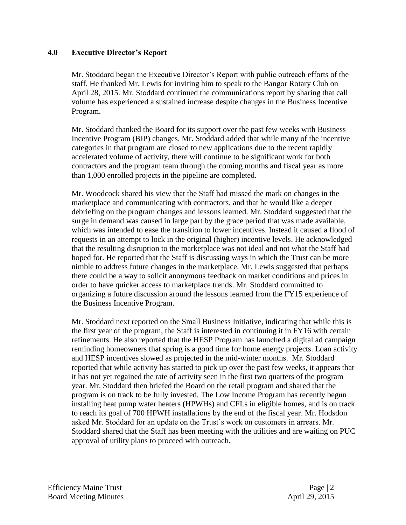### **4.0 Executive Director's Report**

Mr. Stoddard began the Executive Director's Report with public outreach efforts of the staff. He thanked Mr. Lewis for inviting him to speak to the Bangor Rotary Club on April 28, 2015. Mr. Stoddard continued the communications report by sharing that call volume has experienced a sustained increase despite changes in the Business Incentive Program.

Mr. Stoddard thanked the Board for its support over the past few weeks with Business Incentive Program (BIP) changes. Mr. Stoddard added that while many of the incentive categories in that program are closed to new applications due to the recent rapidly accelerated volume of activity, there will continue to be significant work for both contractors and the program team through the coming months and fiscal year as more than 1,000 enrolled projects in the pipeline are completed.

Mr. Woodcock shared his view that the Staff had missed the mark on changes in the marketplace and communicating with contractors, and that he would like a deeper debriefing on the program changes and lessons learned. Mr. Stoddard suggested that the surge in demand was caused in large part by the grace period that was made available, which was intended to ease the transition to lower incentives. Instead it caused a flood of requests in an attempt to lock in the original (higher) incentive levels. He acknowledged that the resulting disruption to the marketplace was not ideal and not what the Staff had hoped for. He reported that the Staff is discussing ways in which the Trust can be more nimble to address future changes in the marketplace. Mr. Lewis suggested that perhaps there could be a way to solicit anonymous feedback on market conditions and prices in order to have quicker access to marketplace trends. Mr. Stoddard committed to organizing a future discussion around the lessons learned from the FY15 experience of the Business Incentive Program.

Mr. Stoddard next reported on the Small Business Initiative, indicating that while this is the first year of the program, the Staff is interested in continuing it in FY16 with certain refinements. He also reported that the HESP Program has launched a digital ad campaign reminding homeowners that spring is a good time for home energy projects. Loan activity and HESP incentives slowed as projected in the mid-winter months. Mr. Stoddard reported that while activity has started to pick up over the past few weeks, it appears that it has not yet regained the rate of activity seen in the first two quarters of the program year. Mr. Stoddard then briefed the Board on the retail program and shared that the program is on track to be fully invested. The Low Income Program has recently begun installing heat pump water heaters (HPWHs) and CFLs in eligible homes, and is on track to reach its goal of 700 HPWH installations by the end of the fiscal year. Mr. Hodsdon asked Mr. Stoddard for an update on the Trust's work on customers in arrears. Mr. Stoddard shared that the Staff has been meeting with the utilities and are waiting on PUC approval of utility plans to proceed with outreach.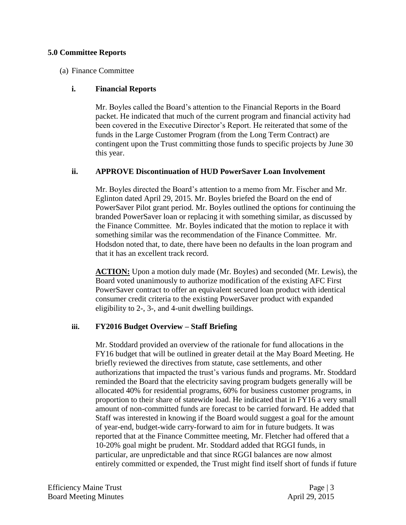#### **5.0 Committee Reports**

#### (a) Finance Committee

#### **i. Financial Reports**

Mr. Boyles called the Board's attention to the Financial Reports in the Board packet. He indicated that much of the current program and financial activity had been covered in the Executive Director's Report. He reiterated that some of the funds in the Large Customer Program (from the Long Term Contract) are contingent upon the Trust committing those funds to specific projects by June 30 this year.

#### **ii. APPROVE Discontinuation of HUD PowerSaver Loan Involvement**

Mr. Boyles directed the Board's attention to a memo from Mr. Fischer and Mr. Eglinton dated April 29, 2015. Mr. Boyles briefed the Board on the end of PowerSaver Pilot grant period. Mr. Boyles outlined the options for continuing the branded PowerSaver loan or replacing it with something similar, as discussed by the Finance Committee. Mr. Boyles indicated that the motion to replace it with something similar was the recommendation of the Finance Committee. Mr. Hodsdon noted that, to date, there have been no defaults in the loan program and that it has an excellent track record.

**ACTION:** Upon a motion duly made (Mr. Boyles) and seconded (Mr. Lewis), the Board voted unanimously to authorize modification of the existing AFC First PowerSaver contract to offer an equivalent secured loan product with identical consumer credit criteria to the existing PowerSaver product with expanded eligibility to 2-, 3-, and 4-unit dwelling buildings.

#### **iii. FY2016 Budget Overview – Staff Briefing**

Mr. Stoddard provided an overview of the rationale for fund allocations in the FY16 budget that will be outlined in greater detail at the May Board Meeting. He briefly reviewed the directives from statute, case settlements, and other authorizations that impacted the trust's various funds and programs. Mr. Stoddard reminded the Board that the electricity saving program budgets generally will be allocated 40% for residential programs, 60% for business customer programs, in proportion to their share of statewide load. He indicated that in FY16 a very small amount of non-committed funds are forecast to be carried forward. He added that Staff was interested in knowing if the Board would suggest a goal for the amount of year-end, budget-wide carry-forward to aim for in future budgets. It was reported that at the Finance Committee meeting, Mr. Fletcher had offered that a 10-20% goal might be prudent. Mr. Stoddard added that RGGI funds, in particular, are unpredictable and that since RGGI balances are now almost entirely committed or expended, the Trust might find itself short of funds if future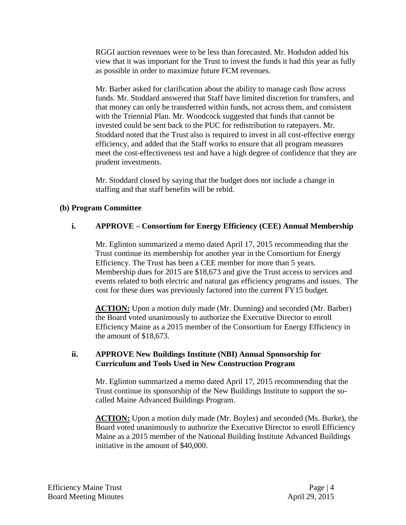RGGI auction revenues were to be less than forecasted. Mr. Hodsdon added his view that it was important for the Trust to invest the funds it had this year as fully as possible in order to maximize future FCM revenues.

Mr. Barber asked for clarification about the ability to manage cash flow across funds. Mr. Stoddard answered that Staff have limited discretion for transfers, and that money can only be transferred within funds, not across them, and consistent with the Triennial Plan. Mr. Woodcock suggested that funds that cannot be invested could be sent back to the PUC for redistribution to ratepayers. Mr. Stoddard noted that the Trust also is required to invest in all cost-effective energy efficiency, and added that the Staff works to ensure that all program measures meet the cost-effectiveness test and have a high degree of confidence that they are prudent investments.

Mr. Stoddard closed by saying that the budget does not include a change in staffing and that staff benefits will be rebid.

# **(b) Program Committee**

# **i. APPROVE – Consortium for Energy Efficiency (CEE) Annual Membership**

Mr. Eglinton summarized a memo dated April 17, 2015 recommending that the Trust continue its membership for another year in the Consortium for Energy Efficiency. The Trust has been a CEE member for more than 5 years. Membership dues for 2015 are \$18,673 and give the Trust access to services and events related to both electric and natural gas efficiency programs and issues. The cost for these dues was previously factored into the current FY15 budget.

**ACTION:** Upon a motion duly made (Mr. Dunning) and seconded (Mr. Barber) the Board voted unanimously to authorize the Executive Director to enroll Efficiency Maine as a 2015 member of the Consortium for Energy Efficiency in the amount of \$18,673.

#### **ii. APPROVE New Buildings Institute (NBI) Annual Sponsorship for Curriculum and Tools Used in New Construction Program**

Mr. Eglinton summarized a memo dated April 17, 2015 recommending that the Trust continue its sponsorship of the New Buildings Institute to support the socalled Maine Advanced Buildings Program.

**ACTION:** Upon a motion duly made (Mr. Boyles) and seconded (Ms. Burke), the Board voted unanimously to authorize the Executive Director to enroll Efficiency Maine as a 2015 member of the National Building Institute Advanced Buildings initiative in the amount of \$40,000.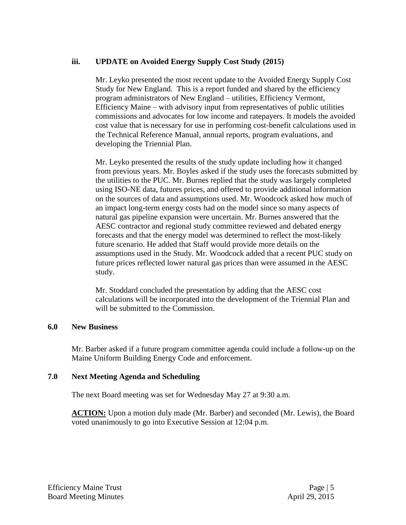# **iii. UPDATE on Avoided Energy Supply Cost Study (2015)**

Mr. Leyko presented the most recent update to the Avoided Energy Supply Cost Study for New England. This is a report funded and shared by the efficiency program administrators of New England – utilities, Efficiency Vermont, Efficiency Maine – with advisory input from representatives of public utilities commissions and advocates for low income and ratepayers. It models the avoided cost value that is necessary for use in performing cost-benefit calculations used in the Technical Reference Manual, annual reports, program evaluations, and developing the Triennial Plan.

Mr. Leyko presented the results of the study update including how it changed from previous years. Mr. Boyles asked if the study uses the forecasts submitted by the utilities to the PUC. Mr. Burnes replied that the study was largely completed using ISO-NE data, futures prices, and offered to provide additional information on the sources of data and assumptions used. Mr. Woodcock asked how much of an impact long-term energy costs had on the model since so many aspects of natural gas pipeline expansion were uncertain. Mr. Burnes answered that the AESC contractor and regional study committee reviewed and debated energy forecasts and that the energy model was determined to reflect the most-likely future scenario. He added that Staff would provide more details on the assumptions used in the Study. Mr. Woodcock added that a recent PUC study on future prices reflected lower natural gas prices than were assumed in the AESC study.

Mr. Stoddard concluded the presentation by adding that the AESC cost calculations will be incorporated into the development of the Triennial Plan and will be submitted to the Commission.

# **6.0 New Business**

Mr. Barber asked if a future program committee agenda could include a follow-up on the Maine Uniform Building Energy Code and enforcement.

# **7.0 Next Meeting Agenda and Scheduling**

The next Board meeting was set for Wednesday May 27 at 9:30 a.m.

**ACTION:** Upon a motion duly made (Mr. Barber) and seconded (Mr. Lewis), the Board voted unanimously to go into Executive Session at 12:04 p.m.